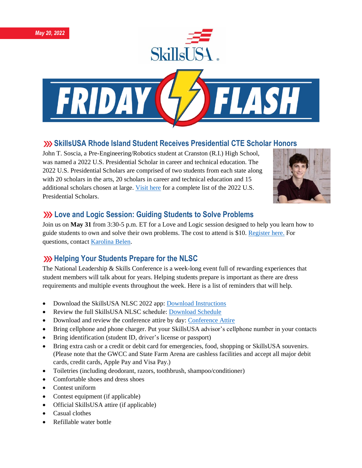



#### **SkillsUSA Rhode Island Student Receives Presidential CTE Scholar Honors**

John T. Soscia, a Pre-Engineering/Robotics student at Cranston (R.I.) High School, was named a 2022 U.S. Presidential Scholar in career and technical education. The 2022 U.S. Presidential Scholars are comprised of two students from each state along with 20 scholars in the arts, 20 scholars in career and technical education and 15 additional scholars chosen at large. [Visit here](https://www2.ed.gov/programs/psp/index.html) for a complete list of the 2022 U.S. Presidential Scholars.



#### **Love and Logic Session: Guiding Students to Solve Problems**

Join us on **May 31** from 3:30-5 p.m. ET for a Love and Logic session designed to help you learn how to guide students to own and solve their own problems. The cost to attend is \$10. [Register here.](https://skillsusa.wufoo.com/forms/love-and-logic-and-technical-fridays-registration) For questions, contact [Karolina Belen.](mailto:kbelen@skillsusa.org)

## **XXX** Helping Your Students Prepare for the NLSC

The National Leadership & Skills Conference is a week-long event full of rewarding experiences that student members will talk about for years. Helping students prepare is important as there are dress requirements and multiple events throughout the week. Here is a list of reminders that will help.

- Download the SkillsUSA NLSC 2022 app: [Download Instructions](https://skillsusaorg-my.sharepoint.com/:b:/g/personal/jsewell_skillsusa_org/EYo7QjeOtVNOsf5DDoOLuxYBqPSGymc2D31f9TciYPpsUg?e=L57HxF)
- Review the full SkillsUSA NLSC schedule[: Download Schedule](https://skillsusaorg-my.sharepoint.com/:b:/g/personal/jsewell_skillsusa_org/EUpMafYau8RLu9Zk1_dDcjQBQr68xCLmWcwSbEjFOayocg?e=tCxAag)
- Download and review the conference attire by day: [Conference Attire](https://skillsusaorg-my.sharepoint.com/:b:/g/personal/jsewell_skillsusa_org/ERrCwUnBID5ArLDiAJ8MdiwB4nraZxKr4qt8bs9jl7Pslw?e=htPsSo)
- Bring cellphone and phone charger. Put your SkillsUSA advisor's cellphone number in your contacts
- Bring identification (student ID, driver's license or passport)
- Bring extra cash or a credit or debit card for emergencies, food, shopping or SkillsUSA souvenirs. (Please note that the GWCC and State Farm Arena are cashless facilities and accept all major debit cards, credit cards, Apple Pay and Visa Pay.)
- Toiletries (including deodorant, razors, toothbrush, shampoo/conditioner)
- Comfortable shoes and dress shoes
- Contest uniform
- Contest equipment (if applicable)
- Official SkillsUSA attire (if applicable)
- Casual clothes
- Refillable water bottle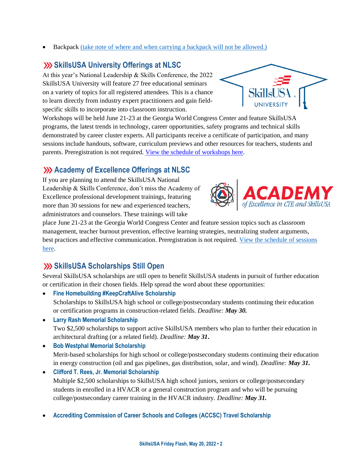• Backpack [\(take note of where and when carrying a backpack will not be allowed.\)](https://skillsusa.egnyte.com/dl/m8am4iFzZ8)

### **SkillsUSA University Offerings at NLSC**

At this year's National Leadership & Skills Conference, the 2022 SkillsUSA University will feature 27 free educational seminars on a variety of topics for all registered attendees. This is a chance to learn directly from industry expert practitioners and gain fieldspecific skills to incorporate into classroom instruction.

Workshops will be held June 21-23 at the Georgia World Congress Center and feature SkillsUSA programs, the latest trends in technology, career opportunities, safety programs and technical skills demonstrated by career cluster experts. All participants receive a certificate of participation, and many sessions include handouts, software, curriculum previews and other resources for teachers, students and parents. Preregistration is not required. [View the schedule of workshops here.](https://www.skillsusa.org/wp-content/uploads/2022/04/SkillsUSA-University-Offerings-2022.pdf)

#### **Academy of Excellence Offerings at NLSC**

If you are planning to attend the SkillsUSA National Leadership & Skills Conference, don't miss the Academy of Excellence professional development trainings, featuring more than 30 sessions for new and experienced teachers, administrators and counselors. These trainings will take

place June 21-23 at the Georgia World Congress Center and feature session topics such as classroom management, teacher burnout prevention, effective learning strategies, neutralizing student arguments, best practices and effective communication. Preregistration is not required. [View the schedule of sessions](https://www.skillsusa.org/wp-content/uploads/2022/04/Academy-of-Excellence-Offerings-2022.pdf) 

[here.](https://www.skillsusa.org/wp-content/uploads/2022/04/Academy-of-Excellence-Offerings-2022.pdf)

# **SKILLST SCHOLARS STILL Open**

Several SkillsUSA scholarships are still open to benefit SkillsUSA students in pursuit of further education or certification in their chosen fields. Help spread the word about these opportunities:

- **Fine Homebuilding #KeepCraftAlive Scholarship** Scholarships to SkillsUSA high school or college/postsecondary students continuing their education or certification programs in construction-related fields. *Deadline: May 30.*
- **Larry Rash Memorial Scholarship**  Two \$2,500 scholarships to support active SkillsUSA members who plan to further their education in architectural drafting (or a related field). *Deadline: May 31***.**
- **Bob Westphal Memorial Scholarship**

Merit-based scholarships for high school or college/postsecondary students continuing their education in energy construction (oil and gas pipelines, gas distribution, solar, and wind). *Deadline: May 31.*

- **Clifford T. Rees, Jr. Memorial Scholarship** Multiple \$2,500 scholarships to SkillsUSA high school juniors, seniors or college/postsecondary students in enrolled in a HVACR or a general construction program and who will be pursuing college/postsecondary career training in the HVACR industry. *Deadline: May 31.*
- **Accrediting Commission of Career Schools and Colleges (ACCSC) Travel Scholarship**